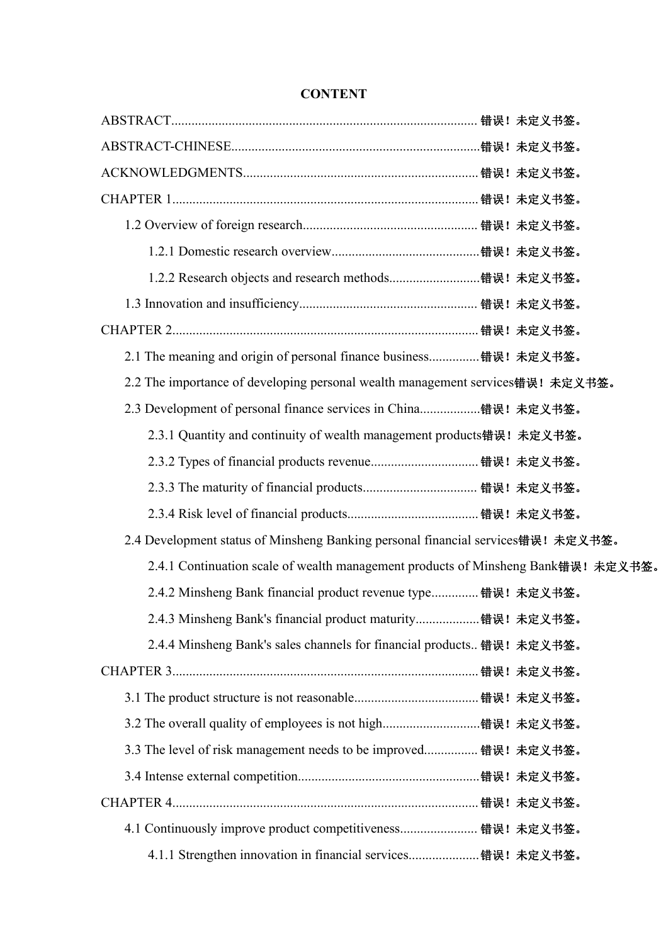| 2.1 The meaning and origin of personal finance business错误! 未定义书签。                 |  |
|-----------------------------------------------------------------------------------|--|
| 2.2 The importance of developing personal wealth management services错误! 未定义书签。    |  |
| 2.3 Development of personal finance services in China错误! 未定义书签。                   |  |
| 2.3.1 Quantity and continuity of wealth management products错误! 未定义书签。             |  |
|                                                                                   |  |
|                                                                                   |  |
|                                                                                   |  |
| 2.4 Development status of Minsheng Banking personal financial services错误! 未定义书签。  |  |
| 2.4.1 Continuation scale of wealth management products of Minsheng Bank错误! 未定义书签。 |  |
| 2.4.2 Minsheng Bank financial product revenue type 错误! 未定义书签。                     |  |
| 2.4.3 Minsheng Bank's financial product maturity错误! 未定义书签。                        |  |
| 2.4.4 Minsheng Bank's sales channels for financial products 错误! 未定义书签。            |  |
|                                                                                   |  |
|                                                                                   |  |
|                                                                                   |  |
| 3.3 The level of risk management needs to be improved 错误! 未定义书签。                  |  |
|                                                                                   |  |
|                                                                                   |  |
| 4.1 Continuously improve product competitiveness 错误! 未定义书签。                       |  |
| 4.1.1 Strengthen innovation in financial services错误! 未定义书签。                       |  |

## **CONTENT**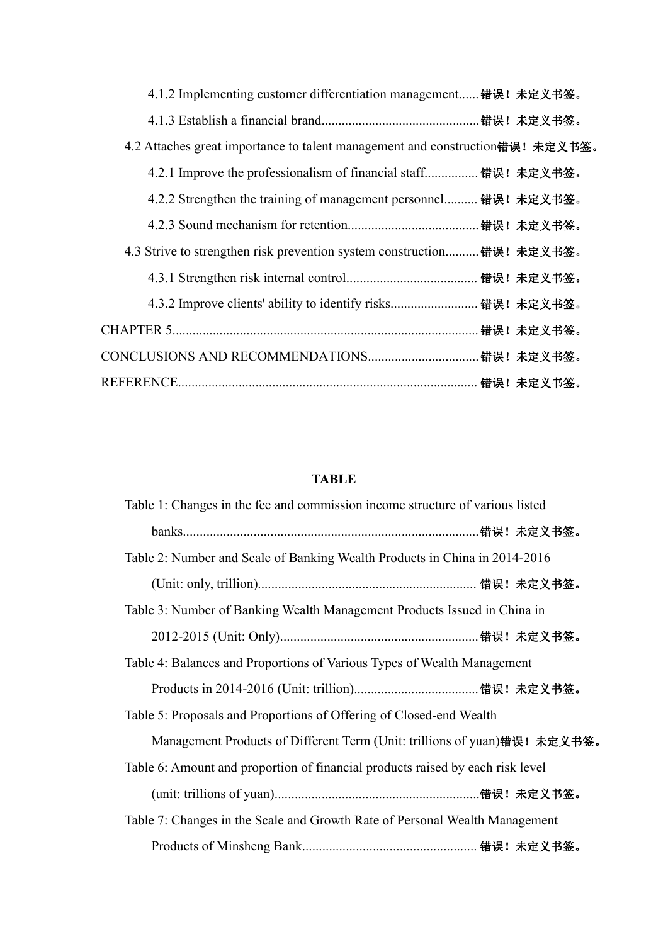| 4.1.2 Implementing customer differentiation management错误! 未定义书签。              |
|-------------------------------------------------------------------------------|
|                                                                               |
| 4.2 Attaches great importance to talent management and construction错误! 未定义书签。 |
| 4.2.1 Improve the professionalism of financial staff 错误! 未定义书签。               |
| 4.2.2 Strengthen the training of management personnel 错误! 未定义书签。              |
|                                                                               |
| 4.3 Strive to strengthen risk prevention system construction错误! 未定义书签。        |
|                                                                               |
|                                                                               |
|                                                                               |
|                                                                               |
|                                                                               |

## **TABLE**

| Table 1: Changes in the fee and commission income structure of various listed  |
|--------------------------------------------------------------------------------|
|                                                                                |
| Table 2: Number and Scale of Banking Wealth Products in China in 2014-2016     |
|                                                                                |
| Table 3: Number of Banking Wealth Management Products Issued in China in       |
|                                                                                |
| Table 4: Balances and Proportions of Various Types of Wealth Management        |
|                                                                                |
| Table 5: Proposals and Proportions of Offering of Closed-end Wealth            |
| Management Products of Different Term (Unit: trillions of yuan)错误! 未定义书签。      |
| Table 6: Amount and proportion of financial products raised by each risk level |
|                                                                                |
| Table 7: Changes in the Scale and Growth Rate of Personal Wealth Management    |
|                                                                                |